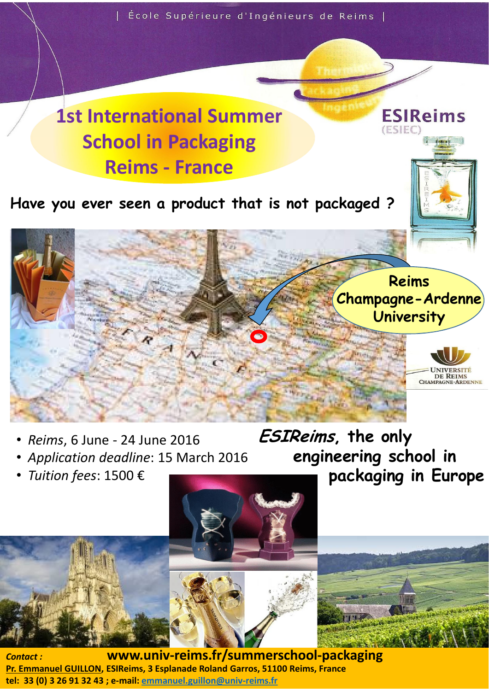

- *Reims*, 6 June 24 June 2016
- *Application deadline*: 15 March 2016
- *Tuition fees*: 1500 €

ESIReims, the only engineering school in packaging in Europe



*Contact :*  Pr. Emmanuel GUILLON, ESIReims, 3 Esplanade Roland Garros, 51100 Reims, France tel: 33 (0) 3 26 91 32 43 ; e-mail: emmanuel.guillon@univ-reims.fr www.univ-reims.fr/summerschool-packaging